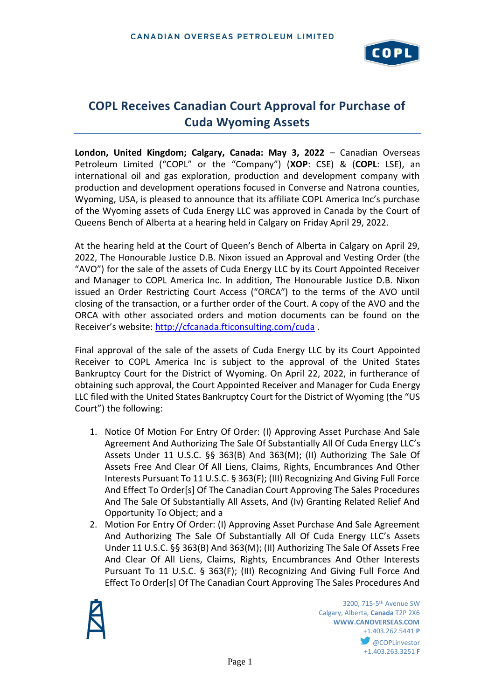

# **COPL Receives Canadian Court Approval for Purchase of Cuda Wyoming Assets**

**London, United Kingdom; Calgary, Canada: May 3, 2022** – Canadian Overseas Petroleum Limited ("COPL" or the "Company") (**XOP**: CSE) & (**COPL**: LSE), an international oil and gas exploration, production and development company with production and development operations focused in Converse and Natrona counties, Wyoming, USA, is pleased to announce that its affiliate COPL America Inc's purchase of the Wyoming assets of Cuda Energy LLC was approved in Canada by the Court of Queens Bench of Alberta at a hearing held in Calgary on Friday April 29, 2022.

At the hearing held at the Court of Queen's Bench of Alberta in Calgary on April 29, 2022, The Honourable Justice D.B. Nixon issued an Approval and Vesting Order (the "AVO") for the sale of the assets of Cuda Energy LLC by its Court Appointed Receiver and Manager to COPL America Inc. In addition, The Honourable Justice D.B. Nixon issued an Order Restricting Court Access ("ORCA") to the terms of the AVO until closing of the transaction, or a further order of the Court. A copy of the AVO and the ORCA with other associated orders and motion documents can be found on the Receiver's website: <http://cfcanada.fticonsulting.com/cuda> .

Final approval of the sale of the assets of Cuda Energy LLC by its Court Appointed Receiver to COPL America Inc is subject to the approval of the United States Bankruptcy Court for the District of Wyoming. On April 22, 2022, in furtherance of obtaining such approval, the Court Appointed Receiver and Manager for Cuda Energy LLC filed with the United States Bankruptcy Court for the District of Wyoming (the "US Court") the following:

- 1. Notice Of Motion For Entry Of Order: (I) Approving Asset Purchase And Sale Agreement And Authorizing The Sale Of Substantially All Of Cuda Energy LLC's Assets Under 11 U.S.C. §§ 363(B) And 363(M); (II) Authorizing The Sale Of Assets Free And Clear Of All Liens, Claims, Rights, Encumbrances And Other Interests Pursuant To 11 U.S.C. § 363(F); (III) Recognizing And Giving Full Force And Effect To Order[s] Of The Canadian Court Approving The Sales Procedures And The Sale Of Substantially All Assets, And (Iv) Granting Related Relief And Opportunity To Object; and a
- 2. Motion For Entry Of Order: (I) Approving Asset Purchase And Sale Agreement And Authorizing The Sale Of Substantially All Of Cuda Energy LLC's Assets Under 11 U.S.C. §§ 363(B) And 363(M); (II) Authorizing The Sale Of Assets Free And Clear Of All Liens, Claims, Rights, Encumbrances And Other Interests Pursuant To 11 U.S.C. § 363(F); (III) Recognizing And Giving Full Force And Effect To Order[s] Of The Canadian Court Approving The Sales Procedures And



**1200**, 715-5<sup>th</sup> Avenue SW Calgary, Alberta, **Canada** T2P 2X6 **WWW.CANOVERSEAS.COM** +1.403.262.5441 **P @COPLinvestor** +1.403.263.3251 **F**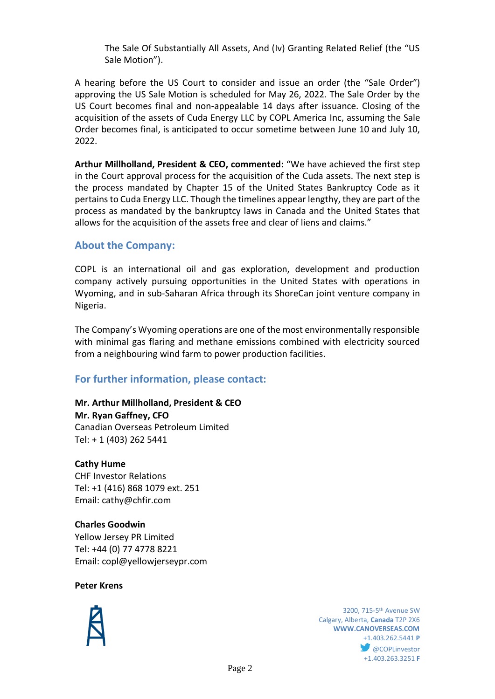The Sale Of Substantially All Assets, And (Iv) Granting Related Relief (the "US Sale Motion").

A hearing before the US Court to consider and issue an order (the "Sale Order") approving the US Sale Motion is scheduled for May 26, 2022. The Sale Order by the US Court becomes final and non-appealable 14 days after issuance. Closing of the acquisition of the assets of Cuda Energy LLC by COPL America Inc, assuming the Sale Order becomes final, is anticipated to occur sometime between June 10 and July 10, 2022.

**Arthur Millholland, President & CEO, commented:** "We have achieved the first step in the Court approval process for the acquisition of the Cuda assets. The next step is the process mandated by Chapter 15 of the United States Bankruptcy Code as it pertains to Cuda Energy LLC. Though the timelines appear lengthy, they are part of the process as mandated by the bankruptcy laws in Canada and the United States that allows for the acquisition of the assets free and clear of liens and claims."

### **About the Company:**

COPL is an international oil and gas exploration, development and production company actively pursuing opportunities in the United States with operations in Wyoming, and in sub-Saharan Africa through its ShoreCan joint venture company in Nigeria.

The Company's Wyoming operations are one of the most environmentally responsible with minimal gas flaring and methane emissions combined with electricity sourced from a neighbouring wind farm to power production facilities.

## **For further information, please contact:**

## **Mr. Arthur Millholland, President & CEO**

**Mr. Ryan Gaffney, CFO** Canadian Overseas Petroleum Limited Tel: + 1 (403) 262 5441

### **Cathy Hume**

CHF Investor Relations Tel: +1 (416) 868 1079 ext. 251 Email: cathy@chfir.com

### **Charles Goodwin**

Yellow Jersey PR Limited Tel: +44 (0) 77 4778 8221 Email: copl@yellowjerseypr.com

### **Peter Krens**



**1200**, 715-5<sup>th</sup> Avenue SW Calgary, Alberta, **Canada** T2P 2X6 **WWW.CANOVERSEAS.COM** +1.403.262.5441 **P @COPLinvestor** +1.403.263.3251 **F**